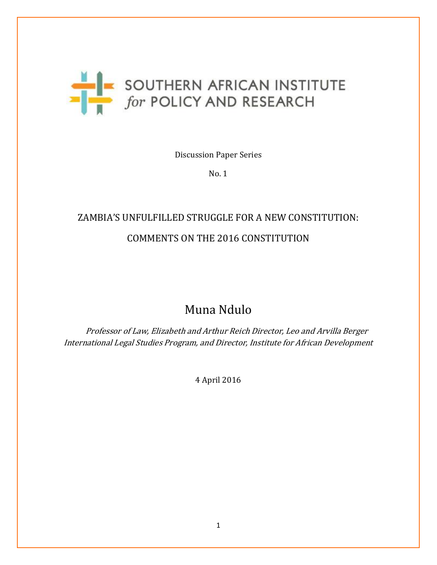

Discussion Paper Series

No. 1

# ZAMBIA'S UNFULFILLED STRUGGLE FOR A NEW CONSTITUTION: COMMENTS ON THE 2016 CONSTITUTION

## Muna Ndulo

 Professor of Law, Elizabeth and Arthur Reich Director, Leo and Arvilla Berger International Legal Studies Program, and Director, Institute for African Development

4 April 2016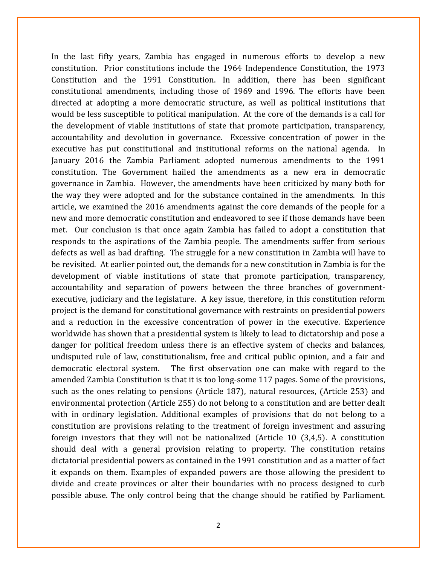In the last fifty years, Zambia has engaged in numerous efforts to develop a new constitution. Prior constitutions include the 1964 Independence Constitution, the 1973 Constitution and the 1991 Constitution. In addition, there has been significant constitutional amendments, including those of 1969 and 1996. The efforts have been directed at adopting a more democratic structure, as well as political institutions that would be less susceptible to political manipulation. At the core of the demands is a call for the development of viable institutions of state that promote participation, transparency, accountability and devolution in governance. Excessive concentration of power in the executive has put constitutional and institutional reforms on the national agenda. In January 2016 the Zambia Parliament adopted numerous amendments to the 1991 constitution. The Government hailed the amendments as a new era in democratic governance in Zambia. However, the amendments have been criticized by many both for the way they were adopted and for the substance contained in the amendments. In this article, we examined the 2016 amendments against the core demands of the people for a new and more democratic constitution and endeavored to see if those demands have been met. Our conclusion is that once again Zambia has failed to adopt a constitution that responds to the aspirations of the Zambia people. The amendments suffer from serious defects as well as bad drafting. The struggle for a new constitution in Zambia will have to be revisited. At earlier pointed out, the demands for a new constitution in Zambia is for the development of viable institutions of state that promote participation, transparency, accountability and separation of powers between the three branches of governmentexecutive, judiciary and the legislature. A key issue, therefore, in this constitution reform project is the demand for constitutional governance with restraints on presidential powers and a reduction in the excessive concentration of power in the executive. Experience worldwide has shown that a presidential system is likely to lead to dictatorship and pose a danger for political freedom unless there is an effective system of checks and balances, undisputed rule of law, constitutionalism, free and critical public opinion, and a fair and democratic electoral system. The first observation one can make with regard to the amended Zambia Constitution is that it is too long-some 117 pages. Some of the provisions, such as the ones relating to pensions (Article 187), natural resources, (Article 253) and environmental protection (Article 255) do not belong to a constitution and are better dealt with in ordinary legislation. Additional examples of provisions that do not belong to a constitution are provisions relating to the treatment of foreign investment and assuring foreign investors that they will not be nationalized (Article 10 (3,4,5). A constitution should deal with a general provision relating to property. The constitution retains dictatorial presidential powers as contained in the 1991 constitution and as a matter of fact it expands on them. Examples of expanded powers are those allowing the president to divide and create provinces or alter their boundaries with no process designed to curb possible abuse. The only control being that the change should be ratified by Parliament.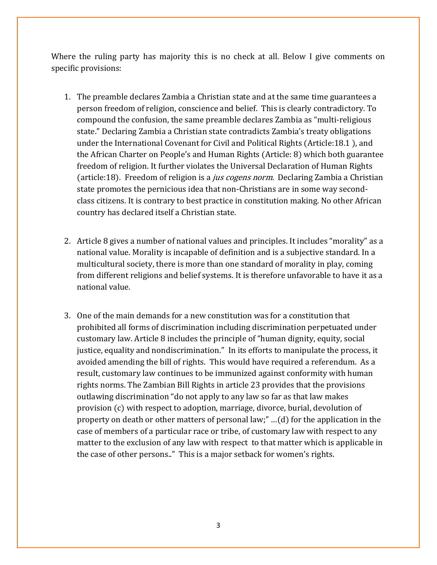Where the ruling party has majority this is no check at all. Below I give comments on specific provisions:

- 1. The preamble declares Zambia a Christian state and at the same time guarantees a person freedom of religion, conscience and belief. This is clearly contradictory. To compound the confusion, the same preamble declares Zambia as "multi-religious state." Declaring Zambia a Christian state contradicts Zambia's treaty obligations under the International Covenant for Civil and Political Rights (Article:18.1 ), and the African Charter on People's and Human Rights (Article: 8) which both guarantee freedom of religion. It further violates the Universal Declaration of Human Rights (article:18). Freedom of religion is a *jus cogens norm*. Declaring Zambia a Christian state promotes the pernicious idea that non-Christians are in some way secondclass citizens. It is contrary to best practice in constitution making. No other African country has declared itself a Christian state.
- 2. Article 8 gives a number of national values and principles. It includes "morality" as a national value. Morality is incapable of definition and is a subjective standard. In a multicultural society, there is more than one standard of morality in play, coming from different religions and belief systems. It is therefore unfavorable to have it as a national value.
- 3. One of the main demands for a new constitution was for a constitution that prohibited all forms of discrimination including discrimination perpetuated under customary law. Article 8 includes the principle of "human dignity, equity, social justice, equality and nondiscrimination." In its efforts to manipulate the process, it avoided amending the bill of rights. This would have required a referendum. As a result, customary law continues to be immunized against conformity with human rights norms. The Zambian Bill Rights in article 23 provides that the provisions outlawing discrimination "do not apply to any law so far as that law makes provision (c) with respect to adoption, marriage, divorce, burial, devolution of property on death or other matters of personal law;" …(d) for the application in the case of members of a particular race or tribe, of customary law with respect to any matter to the exclusion of any law with respect to that matter which is applicable in the case of other persons.." This is a major setback for women's rights.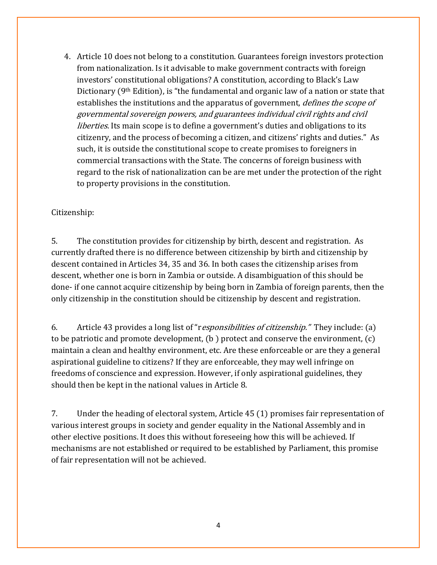4. Article 10 does not belong to a constitution. Guarantees foreign investors protection from nationalization. Is it advisable to make government contracts with foreign investors' constitutional obligations? A constitution, according to Black's Law Dictionary (9th Edition), is "the fundamental and organic law of a nation or state that establishes the institutions and the apparatus of government, *defines the scope of* governmental sovereign powers, and guarantees individual civil rights and civil *liberties*. Its main scope is to define a government's duties and obligations to its citizenry, and the process of becoming a citizen, and citizens' rights and duties." As such, it is outside the constitutional scope to create promises to foreigners in commercial transactions with the State. The concerns of foreign business with regard to the risk of nationalization can be are met under the protection of the right to property provisions in the constitution.

#### Citizenship:

5. The constitution provides for citizenship by birth, descent and registration. As currently drafted there is no difference between citizenship by birth and citizenship by descent contained in Articles 34, 35 and 36. In both cases the citizenship arises from descent, whether one is born in Zambia or outside. A disambiguation of this should be done- if one cannot acquire citizenship by being born in Zambia of foreign parents, then the only citizenship in the constitution should be citizenship by descent and registration.

6. Article 43 provides a long list of "responsibilities of citizenship." They include: (a) to be patriotic and promote development, (b ) protect and conserve the environment, (c) maintain a clean and healthy environment, etc. Are these enforceable or are they a general aspirational guideline to citizens? If they are enforceable, they may well infringe on freedoms of conscience and expression. However, if only aspirational guidelines, they should then be kept in the national values in Article 8.

7. Under the heading of electoral system, Article 45 (1) promises fair representation of various interest groups in society and gender equality in the National Assembly and in other elective positions. It does this without foreseeing how this will be achieved. If mechanisms are not established or required to be established by Parliament, this promise of fair representation will not be achieved.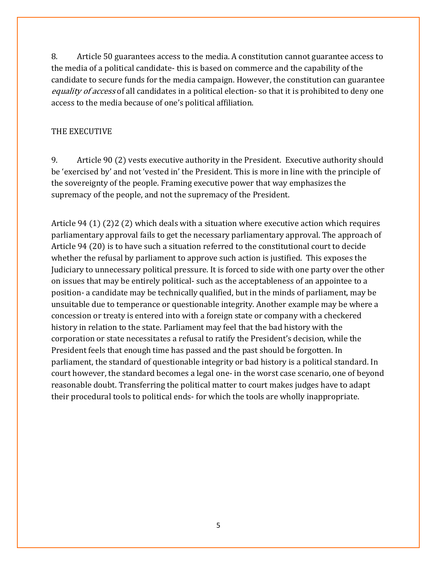8. Article 50 guarantees access to the media. A constitution cannot guarantee access to the media of a political candidate- this is based on commerce and the capability of the candidate to secure funds for the media campaign. However, the constitution can guarantee equality of access of all candidates in a political election-so that it is prohibited to deny one access to the media because of one's political affiliation.

### THE EXECUTIVE

9. Article 90 (2) vests executive authority in the President. Executive authority should be 'exercised by' and not 'vested in' the President. This is more in line with the principle of the sovereignty of the people. Framing executive power that way emphasizes the supremacy of the people, and not the supremacy of the President.

Article 94 (1) (2)2 (2) which deals with a situation where executive action which requires parliamentary approval fails to get the necessary parliamentary approval. The approach of Article 94 (20) is to have such a situation referred to the constitutional court to decide whether the refusal by parliament to approve such action is justified. This exposes the Judiciary to unnecessary political pressure. It is forced to side with one party over the other on issues that may be entirely political- such as the acceptableness of an appointee to a position- a candidate may be technically qualified, but in the minds of parliament, may be unsuitable due to temperance or questionable integrity. Another example may be where a concession or treaty is entered into with a foreign state or company with a checkered history in relation to the state. Parliament may feel that the bad history with the corporation or state necessitates a refusal to ratify the President's decision, while the President feels that enough time has passed and the past should be forgotten. In parliament, the standard of questionable integrity or bad history is a political standard. In court however, the standard becomes a legal one- in the worst case scenario, one of beyond reasonable doubt. Transferring the political matter to court makes judges have to adapt their procedural tools to political ends- for which the tools are wholly inappropriate.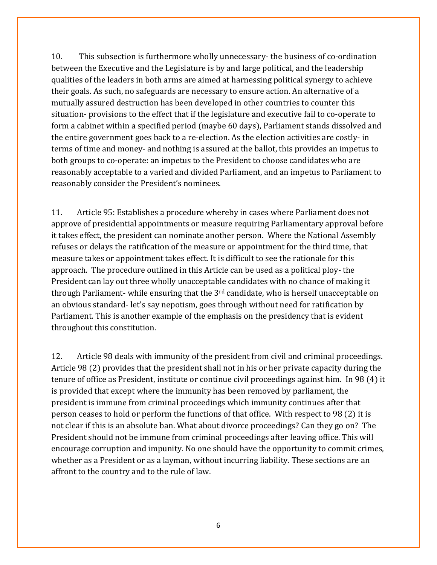10. This subsection is furthermore wholly unnecessary- the business of co-ordination between the Executive and the Legislature is by and large political, and the leadership qualities of the leaders in both arms are aimed at harnessing political synergy to achieve their goals. As such, no safeguards are necessary to ensure action. An alternative of a mutually assured destruction has been developed in other countries to counter this situation- provisions to the effect that if the legislature and executive fail to co-operate to form a cabinet within a specified period (maybe 60 days), Parliament stands dissolved and the entire government goes back to a re-election. As the election activities are costly- in terms of time and money- and nothing is assured at the ballot, this provides an impetus to both groups to co-operate: an impetus to the President to choose candidates who are reasonably acceptable to a varied and divided Parliament, and an impetus to Parliament to reasonably consider the President's nominees.

11. Article 95: Establishes a procedure whereby in cases where Parliament does not approve of presidential appointments or measure requiring Parliamentary approval before it takes effect, the president can nominate another person. Where the National Assembly refuses or delays the ratification of the measure or appointment for the third time, that measure takes or appointment takes effect. It is difficult to see the rationale for this approach. The procedure outlined in this Article can be used as a political ploy- the President can lay out three wholly unacceptable candidates with no chance of making it through Parliament- while ensuring that the 3rd candidate, who is herself unacceptable on an obvious standard- let's say nepotism, goes through without need for ratification by Parliament. This is another example of the emphasis on the presidency that is evident throughout this constitution.

12. Article 98 deals with immunity of the president from civil and criminal proceedings. Article 98 (2) provides that the president shall not in his or her private capacity during the tenure of office as President, institute or continue civil proceedings against him. In 98 (4) it is provided that except where the immunity has been removed by parliament, the president is immune from criminal proceedings which immunity continues after that person ceases to hold or perform the functions of that office. With respect to 98 (2) it is not clear if this is an absolute ban. What about divorce proceedings? Can they go on? The President should not be immune from criminal proceedings after leaving office. This will encourage corruption and impunity. No one should have the opportunity to commit crimes, whether as a President or as a layman, without incurring liability. These sections are an affront to the country and to the rule of law.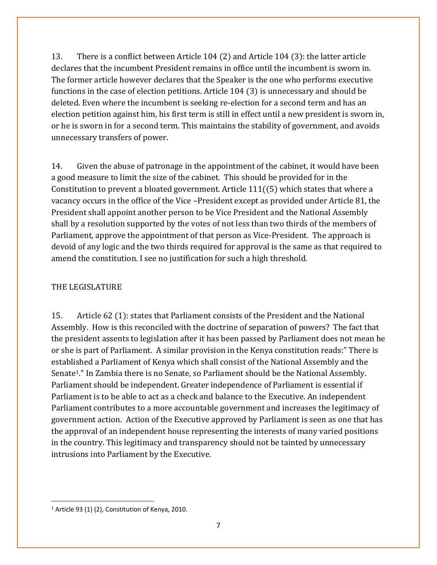13. There is a conflict between Article 104 (2) and Article 104 (3): the latter article declares that the incumbent President remains in office until the incumbent is sworn in. The former article however declares that the Speaker is the one who performs executive functions in the case of election petitions. Article 104 (3) is unnecessary and should be deleted. Even where the incumbent is seeking re-election for a second term and has an election petition against him, his first term is still in effect until a new president is sworn in, or he is sworn in for a second term. This maintains the stability of government, and avoids unnecessary transfers of power.

14. Given the abuse of patronage in the appointment of the cabinet, it would have been a good measure to limit the size of the cabinet. This should be provided for in the Constitution to prevent a bloated government. Article 111((5) which states that where a vacancy occurs in the office of the Vice –President except as provided under Article 81, the President shall appoint another person to be Vice President and the National Assembly shall by a resolution supported by the votes of not less than two thirds of the members of Parliament, approve the appointment of that person as Vice-President. The approach is devoid of any logic and the two thirds required for approval is the same as that required to amend the constitution. I see no justification for such a high threshold.

## THE LEGISLATURE

15. Article 62 (1): states that Parliament consists of the President and the National Assembly. How is this reconciled with the doctrine of separation of powers? The fact that the president assents to legislation after it has been passed by Parliament does not mean he or she is part of Parliament. A similar provision in the Kenya constitution reads:" There is established a Parliament of Kenya which shall consist of the National Assembly and the Senate1." In Zambia there is no Senate, so Parliament should be the National Assembly. Parliament should be independent. Greater independence of Parliament is essential if Parliament is to be able to act as a check and balance to the Executive. An independent Parliament contributes to a more accountable government and increases the legitimacy of government action. Action of the Executive approved by Parliament is seen as one that has the approval of an independent house representing the interests of many varied positions in the country. This legitimacy and transparency should not be tainted by unnecessary intrusions into Parliament by the Executive.

 $\overline{\phantom{a}}$ 

 $1$  Article 93 (1) (2), Constitution of Kenya, 2010.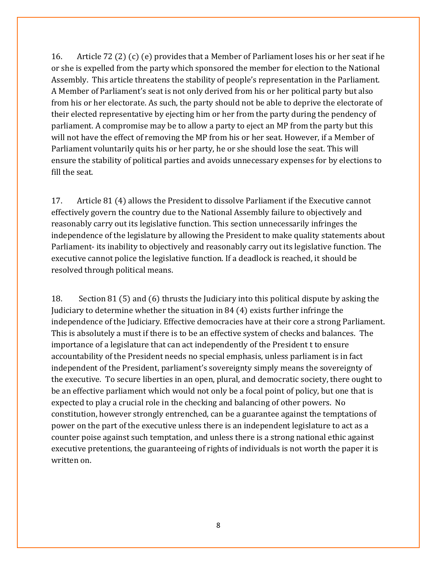16. Article 72 (2) (c) (e) provides that a Member of Parliament loses his or her seat if he or she is expelled from the party which sponsored the member for election to the National Assembly. This article threatens the stability of people's representation in the Parliament. A Member of Parliament's seat is not only derived from his or her political party but also from his or her electorate. As such, the party should not be able to deprive the electorate of their elected representative by ejecting him or her from the party during the pendency of parliament. A compromise may be to allow a party to eject an MP from the party but this will not have the effect of removing the MP from his or her seat. However, if a Member of Parliament voluntarily quits his or her party, he or she should lose the seat. This will ensure the stability of political parties and avoids unnecessary expenses for by elections to fill the seat.

17. Article 81 (4) allows the President to dissolve Parliament if the Executive cannot effectively govern the country due to the National Assembly failure to objectively and reasonably carry out its legislative function. This section unnecessarily infringes the independence of the legislature by allowing the President to make quality statements about Parliament- its inability to objectively and reasonably carry out its legislative function. The executive cannot police the legislative function. If a deadlock is reached, it should be resolved through political means.

18. Section 81 (5) and (6) thrusts the Judiciary into this political dispute by asking the Judiciary to determine whether the situation in 84 (4) exists further infringe the independence of the Judiciary. Effective democracies have at their core a strong Parliament. This is absolutely a must if there is to be an effective system of checks and balances. The importance of a legislature that can act independently of the President t to ensure accountability of the President needs no special emphasis, unless parliament is in fact independent of the President, parliament's sovereignty simply means the sovereignty of the executive. To secure liberties in an open, plural, and democratic society, there ought to be an effective parliament which would not only be a focal point of policy, but one that is expected to play a crucial role in the checking and balancing of other powers. No constitution, however strongly entrenched, can be a guarantee against the temptations of power on the part of the executive unless there is an independent legislature to act as a counter poise against such temptation, and unless there is a strong national ethic against executive pretentions, the guaranteeing of rights of individuals is not worth the paper it is written on.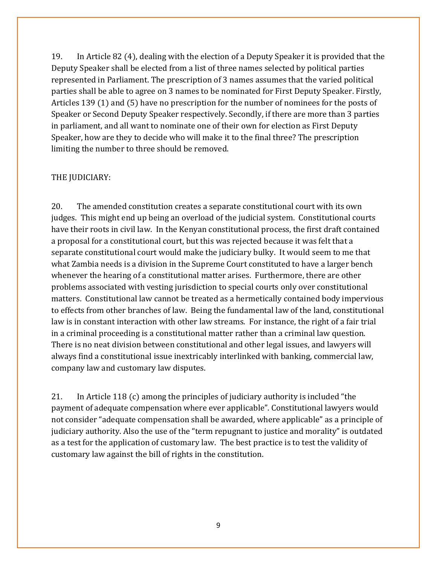19. In Article 82 (4), dealing with the election of a Deputy Speaker it is provided that the Deputy Speaker shall be elected from a list of three names selected by political parties represented in Parliament. The prescription of 3 names assumes that the varied political parties shall be able to agree on 3 names to be nominated for First Deputy Speaker. Firstly, Articles 139 (1) and (5) have no prescription for the number of nominees for the posts of Speaker or Second Deputy Speaker respectively. Secondly, if there are more than 3 parties in parliament, and all want to nominate one of their own for election as First Deputy Speaker, how are they to decide who will make it to the final three? The prescription limiting the number to three should be removed.

#### THE JUDICIARY:

20. The amended constitution creates a separate constitutional court with its own judges. This might end up being an overload of the judicial system. Constitutional courts have their roots in civil law. In the Kenyan constitutional process, the first draft contained a proposal for a constitutional court, but this was rejected because it was felt that a separate constitutional court would make the judiciary bulky. It would seem to me that what Zambia needs is a division in the Supreme Court constituted to have a larger bench whenever the hearing of a constitutional matter arises. Furthermore, there are other problems associated with vesting jurisdiction to special courts only over constitutional matters. Constitutional law cannot be treated as a hermetically contained body impervious to effects from other branches of law. Being the fundamental law of the land, constitutional law is in constant interaction with other law streams. For instance, the right of a fair trial in a criminal proceeding is a constitutional matter rather than a criminal law question. There is no neat division between constitutional and other legal issues, and lawyers will always find a constitutional issue inextricably interlinked with banking, commercial law, company law and customary law disputes.

21. In Article 118 (c) among the principles of judiciary authority is included "the payment of adequate compensation where ever applicable". Constitutional lawyers would not consider "adequate compensation shall be awarded, where applicable" as a principle of judiciary authority. Also the use of the "term repugnant to justice and morality" is outdated as a test for the application of customary law. The best practice is to test the validity of customary law against the bill of rights in the constitution.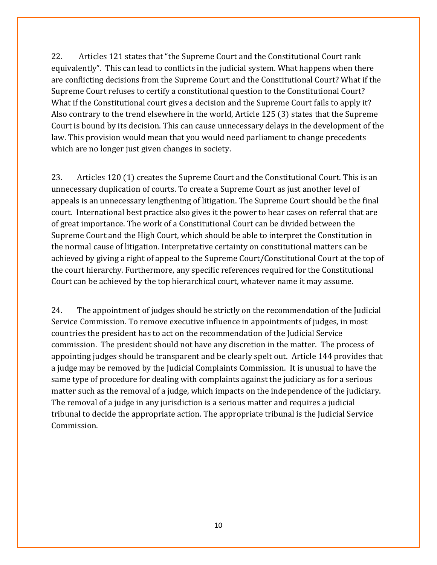22. Articles 121 states that "the Supreme Court and the Constitutional Court rank equivalently". This can lead to conflicts in the judicial system. What happens when there are conflicting decisions from the Supreme Court and the Constitutional Court? What if the Supreme Court refuses to certify a constitutional question to the Constitutional Court? What if the Constitutional court gives a decision and the Supreme Court fails to apply it? Also contrary to the trend elsewhere in the world, Article 125 (3) states that the Supreme Court is bound by its decision. This can cause unnecessary delays in the development of the law. This provision would mean that you would need parliament to change precedents which are no longer just given changes in society.

23. Articles 120 (1) creates the Supreme Court and the Constitutional Court. This is an unnecessary duplication of courts. To create a Supreme Court as just another level of appeals is an unnecessary lengthening of litigation. The Supreme Court should be the final court. International best practice also gives it the power to hear cases on referral that are of great importance. The work of a Constitutional Court can be divided between the Supreme Court and the High Court, which should be able to interpret the Constitution in the normal cause of litigation. Interpretative certainty on constitutional matters can be achieved by giving a right of appeal to the Supreme Court/Constitutional Court at the top of the court hierarchy. Furthermore, any specific references required for the Constitutional Court can be achieved by the top hierarchical court, whatever name it may assume.

24. The appointment of judges should be strictly on the recommendation of the Judicial Service Commission. To remove executive influence in appointments of judges, in most countries the president has to act on the recommendation of the Judicial Service commission. The president should not have any discretion in the matter. The process of appointing judges should be transparent and be clearly spelt out. Article 144 provides that a judge may be removed by the Judicial Complaints Commission. It is unusual to have the same type of procedure for dealing with complaints against the judiciary as for a serious matter such as the removal of a judge, which impacts on the independence of the judiciary. The removal of a judge in any jurisdiction is a serious matter and requires a judicial tribunal to decide the appropriate action. The appropriate tribunal is the Judicial Service Commission.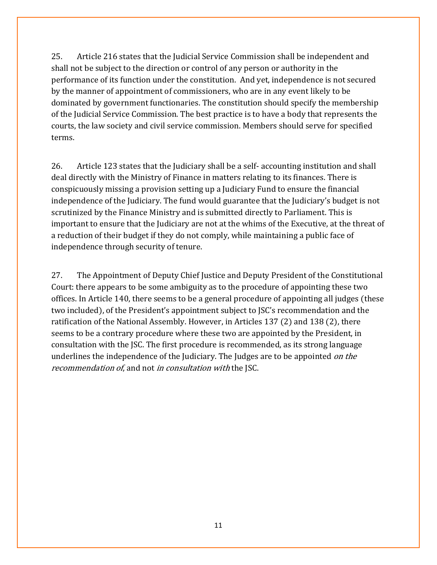25. Article 216 states that the Judicial Service Commission shall be independent and shall not be subject to the direction or control of any person or authority in the performance of its function under the constitution. And yet, independence is not secured by the manner of appointment of commissioners, who are in any event likely to be dominated by government functionaries. The constitution should specify the membership of the Judicial Service Commission. The best practice is to have a body that represents the courts, the law society and civil service commission. Members should serve for specified terms.

26. Article 123 states that the Judiciary shall be a self- accounting institution and shall deal directly with the Ministry of Finance in matters relating to its finances. There is conspicuously missing a provision setting up a Judiciary Fund to ensure the financial independence of the Judiciary. The fund would guarantee that the Judiciary's budget is not scrutinized by the Finance Ministry and is submitted directly to Parliament. This is important to ensure that the Judiciary are not at the whims of the Executive, at the threat of a reduction of their budget if they do not comply, while maintaining a public face of independence through security of tenure.

27. The Appointment of Deputy Chief Justice and Deputy President of the Constitutional Court: there appears to be some ambiguity as to the procedure of appointing these two offices. In Article 140, there seems to be a general procedure of appointing all judges (these two included), of the President's appointment subject to JSC's recommendation and the ratification of the National Assembly. However, in Articles 137 (2) and 138 (2), there seems to be a contrary procedure where these two are appointed by the President, in consultation with the JSC. The first procedure is recommended, as its strong language underlines the independence of the Judiciary. The Judges are to be appointed *on the* recommendation of, and not in consultation with the JSC.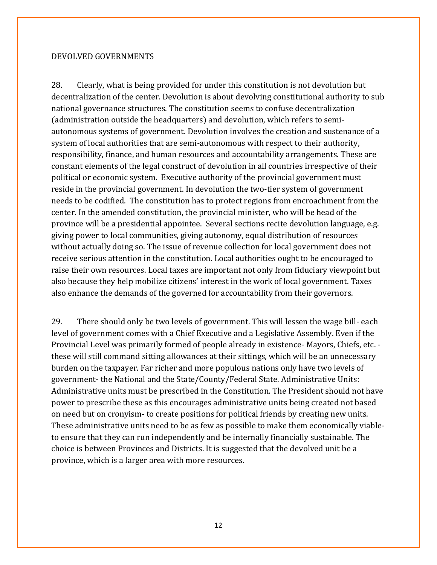#### DEVOLVED GOVERNMENTS

28. Clearly, what is being provided for under this constitution is not devolution but decentralization of the center. Devolution is about devolving constitutional authority to sub national governance structures. The constitution seems to confuse decentralization (administration outside the headquarters) and devolution, which refers to semiautonomous systems of government. Devolution involves the creation and sustenance of a system of local authorities that are semi-autonomous with respect to their authority, responsibility, finance, and human resources and accountability arrangements. These are constant elements of the legal construct of devolution in all countries irrespective of their political or economic system. Executive authority of the provincial government must reside in the provincial government. In devolution the two-tier system of government needs to be codified. The constitution has to protect regions from encroachment from the center. In the amended constitution, the provincial minister, who will be head of the province will be a presidential appointee. Several sections recite devolution language, e.g. giving power to local communities, giving autonomy, equal distribution of resources without actually doing so. The issue of revenue collection for local government does not receive serious attention in the constitution. Local authorities ought to be encouraged to raise their own resources. Local taxes are important not only from fiduciary viewpoint but also because they help mobilize citizens' interest in the work of local government. Taxes also enhance the demands of the governed for accountability from their governors.

29. There should only be two levels of government. This will lessen the wage bill- each level of government comes with a Chief Executive and a Legislative Assembly. Even if the Provincial Level was primarily formed of people already in existence- Mayors, Chiefs, etc. these will still command sitting allowances at their sittings, which will be an unnecessary burden on the taxpayer. Far richer and more populous nations only have two levels of government- the National and the State/County/Federal State. Administrative Units: Administrative units must be prescribed in the Constitution. The President should not have power to prescribe these as this encourages administrative units being created not based on need but on cronyism- to create positions for political friends by creating new units. These administrative units need to be as few as possible to make them economically viableto ensure that they can run independently and be internally financially sustainable. The choice is between Provinces and Districts. It is suggested that the devolved unit be a province, which is a larger area with more resources.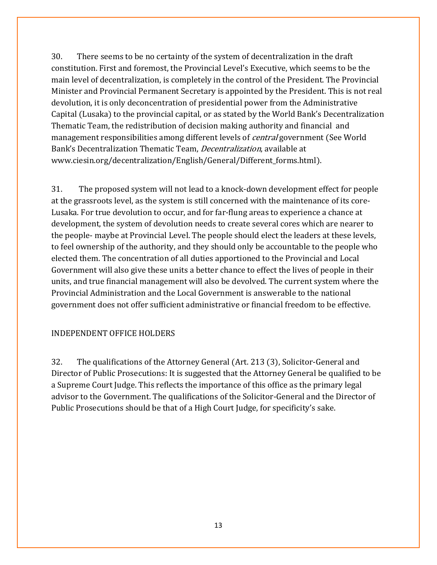30. There seems to be no certainty of the system of decentralization in the draft constitution. First and foremost, the Provincial Level's Executive, which seems to be the main level of decentralization, is completely in the control of the President. The Provincial Minister and Provincial Permanent Secretary is appointed by the President. This is not real devolution, it is only deconcentration of presidential power from the Administrative Capital (Lusaka) to the provincial capital, or as stated by the World Bank's Decentralization Thematic Team, the redistribution of decision making authority and financial and management responsibilities among different levels of *central* government (See World Bank's Decentralization Thematic Team, Decentralization, available at www.ciesin.org/decentralization/English/General/Different\_forms.html).

31. The proposed system will not lead to a knock-down development effect for people at the grassroots level, as the system is still concerned with the maintenance of its core-Lusaka. For true devolution to occur, and for far-flung areas to experience a chance at development, the system of devolution needs to create several cores which are nearer to the people- maybe at Provincial Level. The people should elect the leaders at these levels, to feel ownership of the authority, and they should only be accountable to the people who elected them. The concentration of all duties apportioned to the Provincial and Local Government will also give these units a better chance to effect the lives of people in their units, and true financial management will also be devolved. The current system where the Provincial Administration and the Local Government is answerable to the national government does not offer sufficient administrative or financial freedom to be effective.

#### INDEPENDENT OFFICE HOLDERS

32. The qualifications of the Attorney General (Art. 213 (3), Solicitor-General and Director of Public Prosecutions: It is suggested that the Attorney General be qualified to be a Supreme Court Judge. This reflects the importance of this office as the primary legal advisor to the Government. The qualifications of the Solicitor-General and the Director of Public Prosecutions should be that of a High Court Judge, for specificity's sake.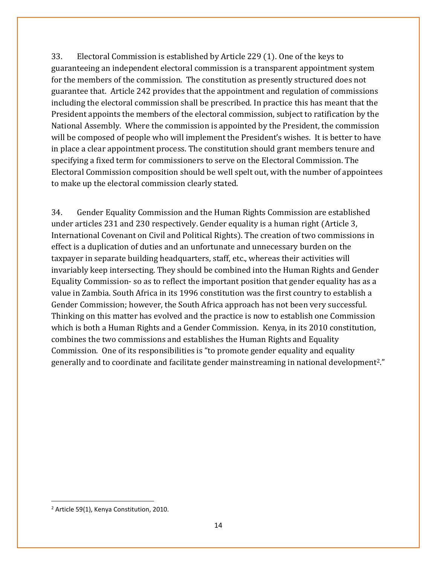33. Electoral Commission is established by Article 229 (1). One of the keys to guaranteeing an independent electoral commission is a transparent appointment system for the members of the commission. The constitution as presently structured does not guarantee that. Article 242 provides that the appointment and regulation of commissions including the electoral commission shall be prescribed. In practice this has meant that the President appoints the members of the electoral commission, subject to ratification by the National Assembly. Where the commission is appointed by the President, the commission will be composed of people who will implement the President's wishes. It is better to have in place a clear appointment process. The constitution should grant members tenure and specifying a fixed term for commissioners to serve on the Electoral Commission. The Electoral Commission composition should be well spelt out, with the number of appointees to make up the electoral commission clearly stated.

34. Gender Equality Commission and the Human Rights Commission are established under articles 231 and 230 respectively. Gender equality is a human right (Article 3, International Covenant on Civil and Political Rights). The creation of two commissions in effect is a duplication of duties and an unfortunate and unnecessary burden on the taxpayer in separate building headquarters, staff, etc., whereas their activities will invariably keep intersecting. They should be combined into the Human Rights and Gender Equality Commission- so as to reflect the important position that gender equality has as a value in Zambia. South Africa in its 1996 constitution was the first country to establish a Gender Commission; however, the South Africa approach has not been very successful. Thinking on this matter has evolved and the practice is now to establish one Commission which is both a Human Rights and a Gender Commission. Kenya, in its 2010 constitution, combines the two commissions and establishes the Human Rights and Equality Commission. One of its responsibilities is "to promote gender equality and equality generally and to coordinate and facilitate gender mainstreaming in national development2."

 $\overline{\phantom{a}}$ 

<sup>&</sup>lt;sup>2</sup> Article 59(1), Kenya Constitution, 2010.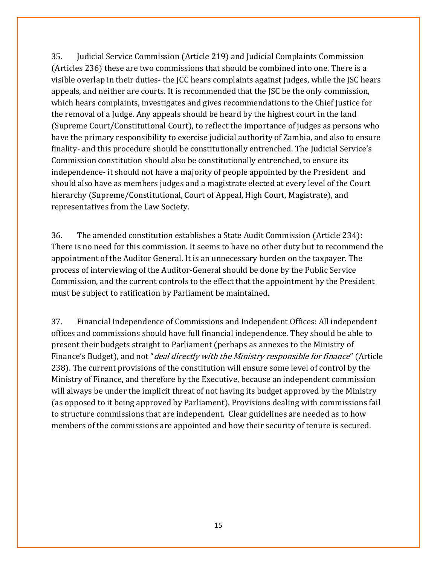35. Judicial Service Commission (Article 219) and Judicial Complaints Commission (Articles 236) these are two commissions that should be combined into one. There is a visible overlap in their duties- the JCC hears complaints against Judges, while the JSC hears appeals, and neither are courts. It is recommended that the JSC be the only commission, which hears complaints, investigates and gives recommendations to the Chief Justice for the removal of a Judge. Any appeals should be heard by the highest court in the land (Supreme Court/Constitutional Court), to reflect the importance of judges as persons who have the primary responsibility to exercise judicial authority of Zambia, and also to ensure finality- and this procedure should be constitutionally entrenched. The Judicial Service's Commission constitution should also be constitutionally entrenched, to ensure its independence- it should not have a majority of people appointed by the President and should also have as members judges and a magistrate elected at every level of the Court hierarchy (Supreme/Constitutional, Court of Appeal, High Court, Magistrate), and representatives from the Law Society.

36. The amended constitution establishes a State Audit Commission (Article 234): There is no need for this commission. It seems to have no other duty but to recommend the appointment of the Auditor General. It is an unnecessary burden on the taxpayer. The process of interviewing of the Auditor-General should be done by the Public Service Commission, and the current controls to the effect that the appointment by the President must be subject to ratification by Parliament be maintained.

37. Financial Independence of Commissions and Independent Offices: All independent offices and commissions should have full financial independence. They should be able to present their budgets straight to Parliament (perhaps as annexes to the Ministry of Finance's Budget), and not "*deal directly with the Ministry responsible for finance*" (Article 238). The current provisions of the constitution will ensure some level of control by the Ministry of Finance, and therefore by the Executive, because an independent commission will always be under the implicit threat of not having its budget approved by the Ministry (as opposed to it being approved by Parliament). Provisions dealing with commissions fail to structure commissions that are independent. Clear guidelines are needed as to how members of the commissions are appointed and how their security of tenure is secured.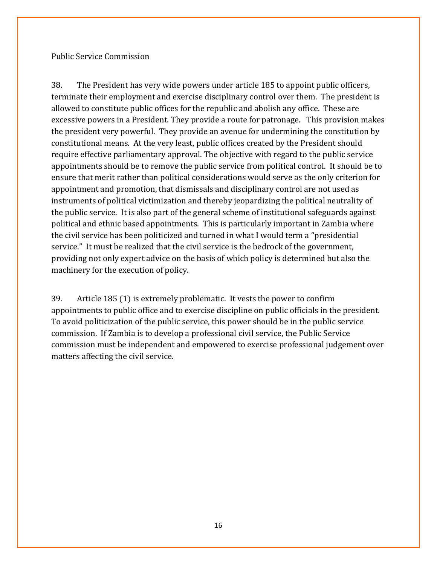Public Service Commission

38. The President has very wide powers under article 185 to appoint public officers, terminate their employment and exercise disciplinary control over them. The president is allowed to constitute public offices for the republic and abolish any office. These are excessive powers in a President. They provide a route for patronage. This provision makes the president very powerful. They provide an avenue for undermining the constitution by constitutional means. At the very least, public offices created by the President should require effective parliamentary approval. The objective with regard to the public service appointments should be to remove the public service from political control. It should be to ensure that merit rather than political considerations would serve as the only criterion for appointment and promotion, that dismissals and disciplinary control are not used as instruments of political victimization and thereby jeopardizing the political neutrality of the public service. It is also part of the general scheme of institutional safeguards against political and ethnic based appointments. This is particularly important in Zambia where the civil service has been politicized and turned in what I would term a "presidential service." It must be realized that the civil service is the bedrock of the government, providing not only expert advice on the basis of which policy is determined but also the machinery for the execution of policy.

39. Article 185 (1) is extremely problematic. It vests the power to confirm appointments to public office and to exercise discipline on public officials in the president. To avoid politicization of the public service, this power should be in the public service commission. If Zambia is to develop a professional civil service, the Public Service commission must be independent and empowered to exercise professional judgement over matters affecting the civil service.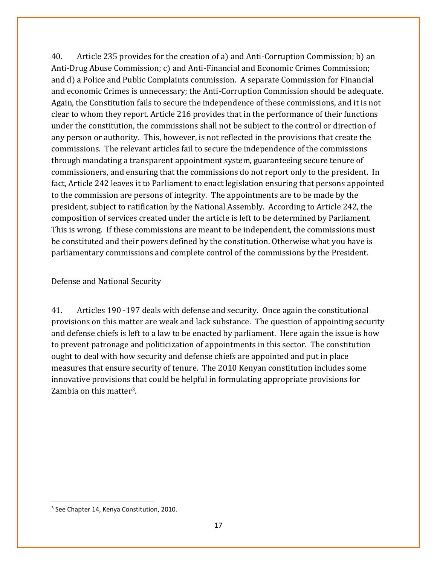40. Article 235 provides for the creation of a) and Anti-Corruption Commission; b) an Anti-Drug Abuse Commission; c) and Anti-Financial and Economic Crimes Commission; and d) a Police and Public Complaints commission. A separate Commission for Financial and economic Crimes is unnecessary; the Anti-Corruption Commission should be adequate. Again, the Constitution fails to secure the independence of these commissions, and it is not clear to whom they report. Article 216 provides that in the performance of their functions under the constitution, the commissions shall not be subject to the control or direction of any person or authority. This, however, is not reflected in the provisions that create the commissions. The relevant articles fail to secure the independence of the commissions through mandating a transparent appointment system, guaranteeing secure tenure of commissioners, and ensuring that the commissions do not report only to the president. In fact, Article 242 leaves it to Parliament to enact legislation ensuring that persons appointed to the commission are persons of integrity. The appointments are to be made by the president, subject to ratification by the National Assembly. According to Article 242, the composition of services created under the article is left to be determined by Parliament. This is wrong. If these commissions are meant to be independent, the commissions must be constituted and their powers defined by the constitution. Otherwise what you have is parliamentary commissions and complete control of the commissions by the President.

Defense and National Security

41. Articles 190 -197 deals with defense and security. Once again the constitutional provisions on this matter are weak and lack substance. The question of appointing security and defense chiefs is left to a law to be enacted by parliament. Here again the issue is how to prevent patronage and politicization of appointments in this sector. The constitution ought to deal with how security and defense chiefs are appointed and put in place measures that ensure security of tenure. The 2010 Kenyan constitution includes some innovative provisions that could be helpful in formulating appropriate provisions for Zambia on this matter3.

 $\overline{\phantom{a}}$ 

<sup>&</sup>lt;sup>3</sup> See Chapter 14, Kenya Constitution, 2010.